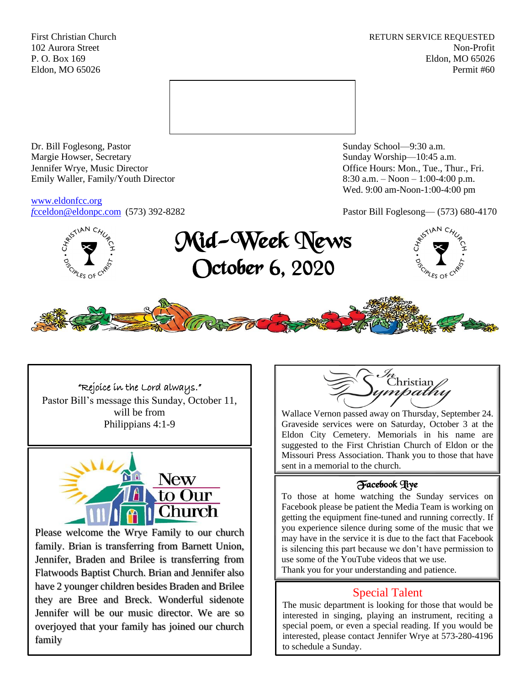First Christian Church **RETURN SERVICE REQUESTED** 102 Aurora Street Non-Profit P. O. Box 169 Eldon, MO 65026 Eldon, MO 65026 Permit #60



Dr. Bill Foglesong, Pastor Sunday School—9:30 a.m. Margie Howser, Secretary Sunday Worship—10:45 a.m. Jennifer Wrye, Music Director Office Hours: Mon., Tue., Thur., Fri. Emily Waller, Family/Youth Director 8:30 a.m. – Noon – 1:00-4:00 p.m.

[www.eldonfcc.org](http://www.eldonfcc.org/)

Wed. 9:00 am-Noon-1:00-4:00 pm

*f*[cceldon@eldonpc.com](mailto:fcceldon@eldonpc.com) (573) 392-8282 Pastor Bill Foglesong— (573) 680-4170



# Mid-Week News October 6, 2020





# "Rejoice in the Lord always."

Pastor Bill's message this Sunday, October 11, will be from Philippians 4:1-9



Please welcome the Wrye Family to our church family. Brian is transferring from Barnett Union, Jennifer, Braden and Brilee is transferring from Flatwoods Baptist Church. Brian and Jennifer also have 2 younger children besides Braden and Brilee they are Bree and Breck. Wonderful sidenote Jennifer will be our music director. We are so overjoyed that your family has joined our church family



Wallace Vernon passed away on Thursday, September 24. Graveside services were on Saturday, October 3 at the Eldon City Cemetery. Memorials in his name are suggested to the First Christian Church of Eldon or the Missouri Press Association. Thank you to those that have sent in a memorial to the church.

## Facebook Live

To those at home watching the Sunday services on Facebook please be patient the Media Team is working on getting the equipment fine-tuned and running correctly. If you experience silence during some of the music that we may have in the service it is due to the fact that Facebook is silencing this part because we don't have permission to use some of the YouTube videos that we use. Thank you for your understanding and patience.

# Special Talent

The music department is looking for those that would be interested in singing, playing an instrument, reciting a special poem, or even a special reading. If you would be interested, please contact Jennifer Wrye at 573-280-4196 to schedule a Sunday.